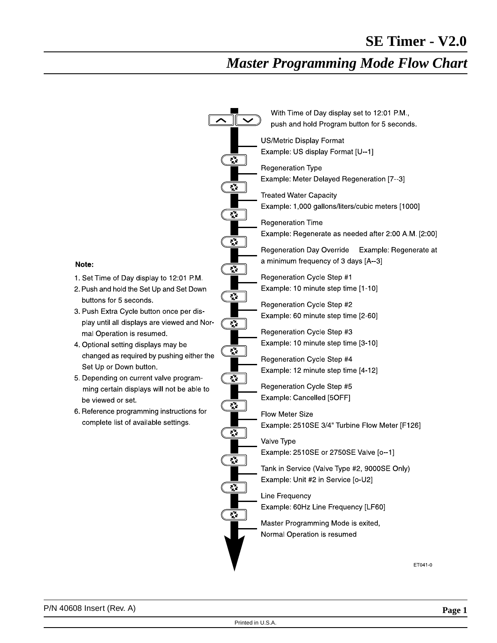# *Master Programming Mode Flow Chart*

|                                                                                   |                       | With Time of Day display set to 12:01 PM,<br>push and hold Program button for 5 seconds. |
|-----------------------------------------------------------------------------------|-----------------------|------------------------------------------------------------------------------------------|
|                                                                                   |                       | US/Metric Display Format                                                                 |
|                                                                                   | ूरे                   | Example: US display Format [U-1]                                                         |
|                                                                                   | ूरे<br>ूर             | <b>Regeneration Type</b>                                                                 |
|                                                                                   |                       | Example: Meter Delayed Regeneration [7--3]                                               |
|                                                                                   |                       | <b>Treated Water Capacity</b>                                                            |
|                                                                                   |                       | Example: 1,000 gallons/liters/cubic meters [1000]                                        |
|                                                                                   |                       | <b>Regeneration Time</b>                                                                 |
|                                                                                   |                       | Example: Regenerate as needed after 2:00 A.M. [2:00]                                     |
|                                                                                   | ै                     | Regeneration Day Override<br>Example: Regenerate at                                      |
| Note:                                                                             |                       | a minimum frequency of 3 days [A-3]                                                      |
| 1. Set Time of Day display to 12:01 P.M.                                          | $\tilde{\mathcal{E}}$ | Regeneration Cycle Step #1                                                               |
| 2. Push and hold the Set Up and Set Down                                          |                       | Example: 10 minute step time [1-10]                                                      |
| buttons for 5 seconds.                                                            | ै                     | Regeneration Cycle Step #2                                                               |
| 3. Push Extra Cycle button once per dis-                                          |                       | Example: 60 minute step time [2-60]                                                      |
| play until all displays are viewed and Nor-                                       | ै                     |                                                                                          |
| mal Operation is resumed.<br>4. Optional setting displays may be                  |                       | Regeneration Cycle Step #3<br>Example: 10 minute step time [3-10]                        |
| changed as required by pushing either the                                         | <u>ુ</u>              |                                                                                          |
| Set Up or Down button.                                                            |                       | Regeneration Cycle Step #4<br>Example: 12 minute step time [4-12]                        |
| 5. Depending on current valve program-                                            | ्रे                   |                                                                                          |
| ming certain displays will not be able to                                         |                       | Regeneration Cycle Step #5                                                               |
| be viewed or set.                                                                 | $\mathbf{c}$          | Example: Cancelled [5OFF]                                                                |
| 6. Reference programming instructions for<br>complete list of available settings. |                       | <b>Flow Meter Size</b>                                                                   |
|                                                                                   | ्रै                   | Example: 2510SE 3/4" Turbine Flow Meter [F126]                                           |
|                                                                                   |                       | Valve Type                                                                               |
|                                                                                   | ्रे                   | Example: 2510SE or 2750SE Valve [o--1]                                                   |
|                                                                                   |                       | Tank in Service (Valve Type #2, 9000SE Only)                                             |
|                                                                                   | ै<br>مي<br>م          | Example: Unit #2 in Service [o-U2]                                                       |
|                                                                                   |                       | Line Frequency                                                                           |
|                                                                                   |                       | Example: 60Hz Line Frequency [LF60]                                                      |
|                                                                                   |                       | Master Programming Mode is exited,                                                       |
|                                                                                   |                       | Normal Operation is resumed                                                              |
|                                                                                   |                       |                                                                                          |
|                                                                                   |                       | ET041-0                                                                                  |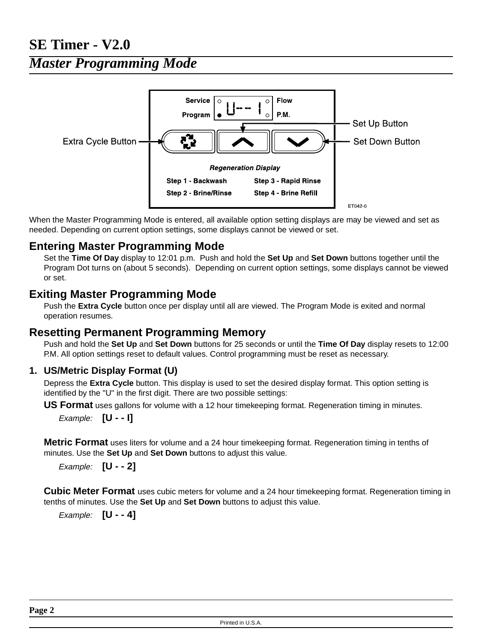## **SE Timer - V2.0**

*Master Programming Mode*



When the Master Programming Mode is entered, all available option setting displays are may be viewed and set as needed. Depending on current option settings, some displays cannot be viewed or set.

## **Entering Master Programming Mode**

Set the **Time Of Day** display to 12:01 p.m. Push and hold the **Set Up** and **Set Down** buttons together untilthe Program Dot turns on (about 5 seconds). Depending on current option settings, some displays cannot be viewed or set.

## **Exiting Master Programming Mode**

Push the **Extra Cycle** button once per display until all are viewed. The Program Mode is exited and normal operation resumes.

## **Resetting Permanent Programming Memory**

Push and hold the Set Up and Set Down buttons for 25 seconds or until the Time Of Day display resets to 12:00 P.M. All option settings reset to default values. Control programming must be reset as necessary.

## **1. US/Metric Display Format (U)**

Depress the **Extra Cycle** button. This display is used to set the desired display format. This option setting is identified by the "U" in the first digit. There are two possible settings:

**US Format** uses gallons for volume with a 12 hour timekeeping format. Regeneration timing in minutes.

Example: **[U - - I]**

**Metric Format** uses liters for volume and a 24 hour timekeeping format. Regeneration timing in tenths of minutes. Use the **Set Up** and **Set Down** buttons to adjust this value.

Example: **[U - - 2]**

**Cubic Meter Format** uses cubic meters for volume and a 24 hour timekeeping format. Regeneration timing in tenths of minutes. Use the **Set Up** and **Set Down** buttons to adjust this value.

Example: **[U - - 4]**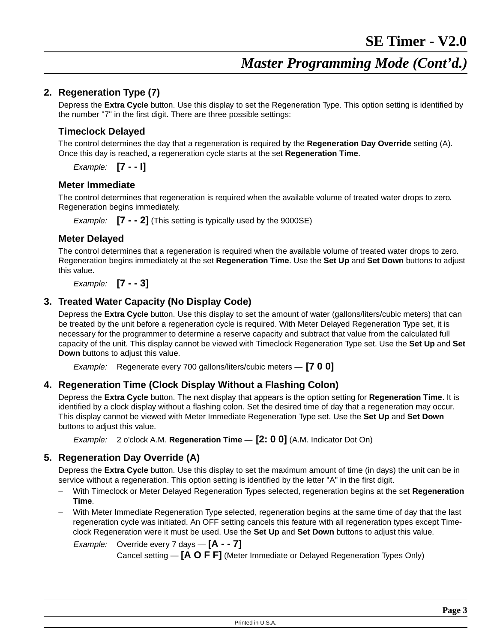### **2. Regeneration Type (7)**

Depress the **Extra Cycle** button. Use this display to set the Regeneration Type. This option setting is identified by the number "7" in the first digit. There are three possible settings:

#### **Timeclock Delayed**

The control determines the day that a regeneration is required by the **Regeneration Day Override** setting (A). Once this day is reached, a regeneration cycle starts at the set **Regeneration Time**.

Example: **[7 - - I]**

#### **Meter Immediate**

The control determines that regeneration is required when the available volume of treated water drops to zero. Regeneration begins immediately.

Example: **[7 - - 2]** (This setting is typically used by the 9000SE)

#### **Meter Delayed**

The control determines that a regeneration is required when the available volume of treated water drops to zero. Regeneration begins immediately at the set **Regeneration Time**. Use the **Set Up** and **Set Down** buttons to adjust this value.

Example: **[7 - - 3]**

## **3. Treated Water Capacity (No Display Code)**

Depress the **Extra Cycle** button. Use this display to set the amount of water (gallons/liters/cubic meters) that can be treated by the unit before a regeneration cycle is required. With Meter Delayed Regeneration Type set, it is necessary for the programmer to determine a reserve capacity and subtract that value from the calculated full capacity of the unit. This display cannot be viewed with Timeclock Regeneration Type set. Use the **Set Up** and **Set Down** buttons to adjust this value.

Example: Regenerate every 700 gallons/liters/cubic meters — **[7 0 0]**

## **4. Regeneration Time (Clock Display Without a Flashing Colon)**

Depress the **Extra Cycle** button. The next display that appears is the option setting for **Regeneration Time**. It is identified by a clock display without a flashing colon. Set the desired time of day that a regeneration may occur. This display cannot be viewed with Meter Immediate Regeneration Type set. Use the **Set Up** and **Set Down** buttons to adjust this value.

Example: 2 o'clock A.M. **Regeneration Time - [2: 0 0]** (A.M. Indicator Dot On)

#### **5. Regeneration Day Override (A)**

Depress the **Extra Cycle** button. Use this display to set the maximum amount of time (in days) the unit can be in service without a regeneration. This option setting is identified by the letter "A" in the first digit.

- With Timeclock or Meter Delayed Regeneration Types selected, regeneration begins at the set **Regeneration Time**.
- With Meter Immediate Regeneration Type selected, regeneration begins at the same time of day that the last regeneration cycle was initiated. An OFF setting cancels this feature with all regeneration types except Timeclock Regeneration were it must be used. Use the **Set Up** and **Set Down** buttons to adjust this value.

Example: Override every 7 days — **[A - - 7]**

Cancelsetting — **[A O FF]** (Meter Immediate or Delayed Regeneration Types Only)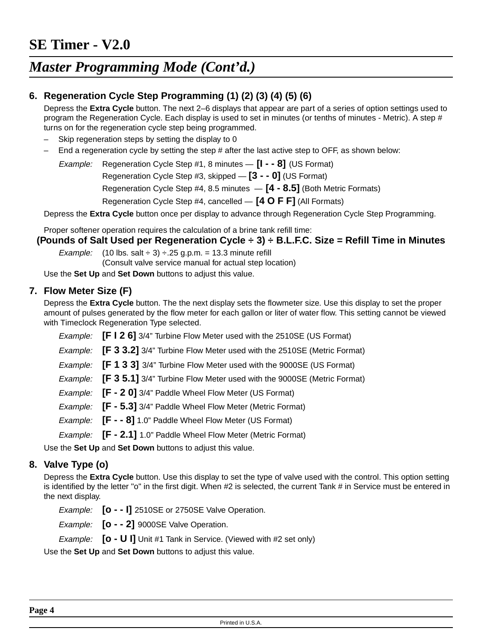## *Master Programming Mode (Cont'd.)*

## **6. Regeneration Cycle Step Programming (1) (2) (3) (4) (5) (6)**

Depress the **Extra Cycle** button. The next 2–6 displays that appear are part of a series of option settings used to program the Regeneration Cycle. Each display is used to set in minutes (or tenths of minutes - Metric). A step # turns on for the regeneration cycle step being programmed.

- Skip regeneration steps by setting the display to 0
- End a regeneration cycle by setting the step # after the last active step to OFF, as shown below:

Example: Regeneration Cycle Step #1, 8 minutes — **[I - - 8]** (US Format)

Regeneration Cycle Step #3, skipped — **[3 - - 0]** (US Format)

Regeneration Cycle Step #4, 8.5 minutes — **[4 - 8.5]** (Both Metric Formats)

Regeneration Cycle Step #4, cancelled — **[4 O FF]** (All Formats)

Depress the **Extra Cycle** button once per display to advance through Regeneration Cycle Step Programming.

Proper softener operation requires the calculation of a brine tank refill time:

#### **(Pounds of Salt Used per Regeneration Cycle ÷ 3) ÷ B.L.F.C. Size = Refill Time in Minutes**

Example: (10 lbs. salt  $\div$  3)  $\div$  25 g.p.m. = 13.3 minute refill (Consult valve service manual for actual step location)

Use the **Set Up** and **Set Down** buttons to adjust this value.

#### **7. Flow Meter Size (F)**

Depress the **Extra Cycle** button. The the next display sets the flowmeter size. Use this display to set the proper amount of pulses generated by the flow meter for each gallon or liter of water flow. This setting cannot be viewed with Timeclock Regeneration Type selected.

Example: **[FI 2 6]** 3/4" Turbine Flow Meter used with the 2510SE (US Format)

Example: **[F3 3.2]** 3/4" Turbine Flow Meter used with the 2510SE (Metric Format)

Example: **[F1 3 3]** 3/4" Turbine Flow Meter used with the 9000SE (US Format)

Example: **[F3 5.1]** 3/4" Turbine Flow Meter used with the 9000SE (Metric Format)

Example: **[F- 2 0]** 3/4" Paddle Wheel Flow Meter (US Format)

Example: **[F- 5.3]** 3/4" Paddle Wheel Flow Meter (Metric Format)

- Example: **[F - 8]** 1.0" Paddle Wheel Flow Meter (US Format)
- Example: **[F- 2.1]** 1.0" Paddle Wheel Flow Meter (Metric Format)

Use the **Set Up** and **Set Down** buttons to adjust this value.

#### **8. Valve Type (o)**

Depress the **Extra Cycle** button. Use this display to set the type of valve used with the control. This option setting is identified by the letter "o" in the first digit. When #2 is selected, the current Tank # in Service must be entered in the next display.

Example: **[o - - I]** 2510SE or 2750SE Valve Operation.

Example: **[o - - 2]** 9000SE Valve Operation.

Example: **[o - U I]** Unit #1 Tank in Service. (Viewed with #2 set only)

Use the **Set Up** and **Set Down** buttons to adjust this value.